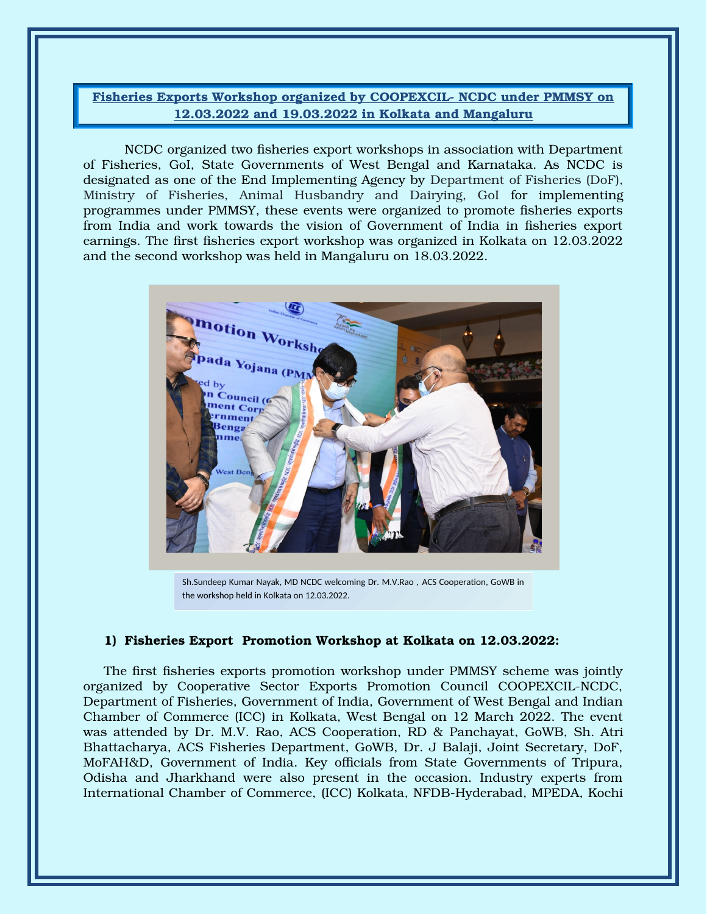## Fisheries Exports Workshop organized by COOPEXCIL- NCDC under PMMSY on 12.03.2022 and 19.03.2022 in Kolkata and Mangaluru

NCDC organized two fisheries export workshops in association with Department of Fisheries, GoI, State Governments of West Bengal and Karnataka. As NCDC is designated as one of the End Implementing Agency by Department of Fisheries (DoF), Ministry of Fisheries, Animal Husbandry and Dairying, GoI for implementing programmes under PMMSY, these events were organized to promote fisheries exports from India and work towards the vision of Government of India in fisheries export earnings. The first fisheries export workshop was organized in Kolkata on 12.03.2022 and the second workshop was held in Mangaluru on 18.03.2022.



Sh.Sundeep Kumar Nayak, MD NCDC welcoming Dr. M.V.Rao , ACS Cooperation, GoWB in the workshop held in Kolkata on 12.03.2022.

## 1) Fisheries Export Promotion Workshop at Kolkata on 12.03.2022:

The first fisheries exports promotion workshop under PMMSY scheme was jointly organized by Cooperative Sector Exports Promotion Council COOPEXCIL-NCDC, Department of Fisheries, Government of India, Government of West Bengal and Indian Chamber of Commerce (ICC) in Kolkata, West Bengal on 12 March 2022. The event was attended by Dr. M.V. Rao, ACS Cooperation, RD & Panchayat, GoWB, Sh. Atri Bhattacharya, ACS Fisheries Department, GoWB, Dr. J Balaji, Joint Secretary, DoF, MoFAH&D, Government of India. Key officials from State Governments of Tripura, Odisha and Jharkhand were also present in the occasion. Industry experts from International Chamber of Commerce, (ICC) Kolkata, NFDB-Hyderabad, MPEDA, Kochi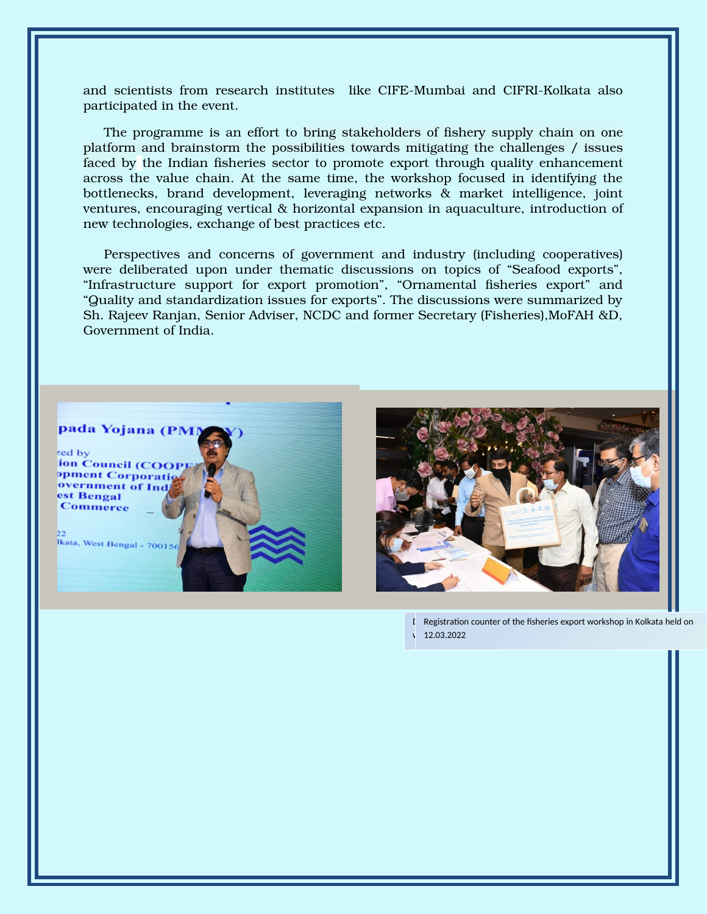and scientists from research institutes like CIFE-Mumbai and CIFRI-Kolkata also participated in the event.

The programme is an effort to bring stakeholders of fishery supply chain on one platform and brainstorm the possibilities towards mitigating the challenges / issues faced by the Indian fisheries sector to promote export through quality enhancement across the value chain. At the same time, the workshop focused in identifying the bottlenecks, brand development, leveraging networks & market intelligence, joint ventures, encouraging vertical & horizontal expansion in aquaculture, introduction of new technologies, exchange of best practices etc.

Perspectives and concerns of government and industry (including cooperatives) were deliberated upon under thematic discussions on topics of "Seafood exports", "Infrastructure support for export promotion", "Ornamental fisheries export" and "Quality and standardization issues for exports". The discussions were summarized by Sh. Rajeev Ranjan, Senior Adviser, NCDC and former Secretary (Fisheries),MoFAH &D, Government of India.



ion Council (COOI opment Corporati overnment of In est Bengal **Commerce** 

Ikata, West Bengal - 700156



I Registration counter of the fisheries export workshop in Kolkata held on v 12.03.2022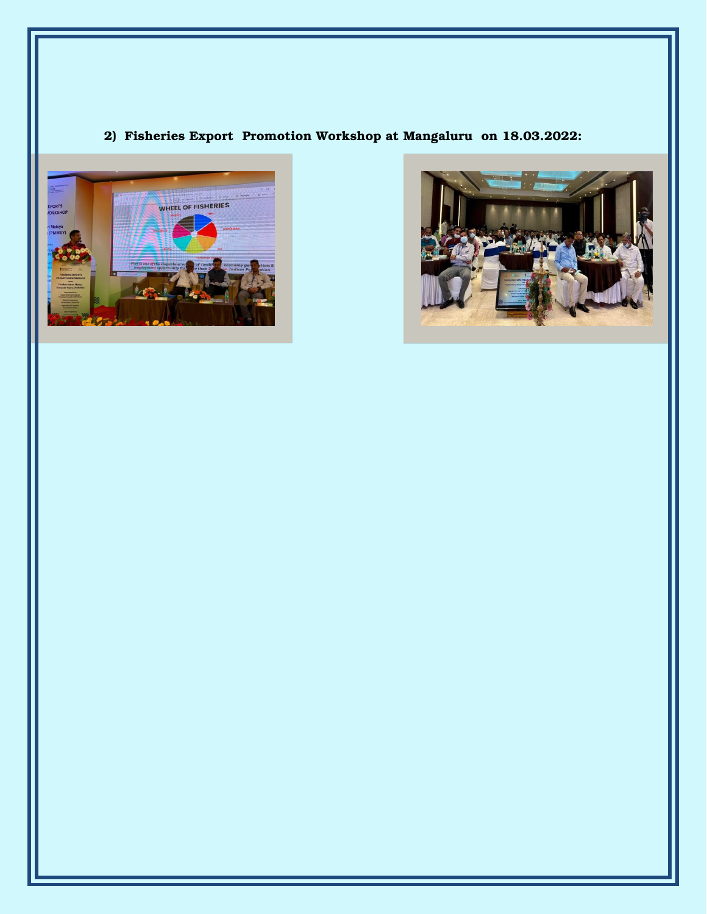## 2) Fisheries Export Promotion Workshop at Mangaluru on 18.03.2022: